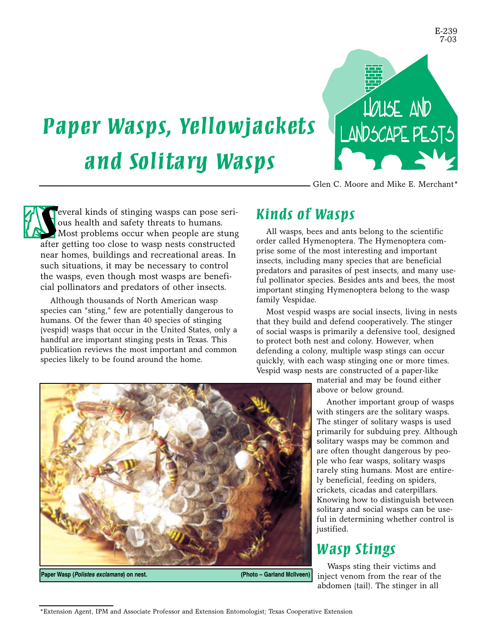

Glen C. Moore and Mike E. Merchant\*

*Paper Wasps, Yellowjackets and Solita ry Wasps*

*S* after getting too close to wasp nests constructed everal kinds of stinging wasps can pose serious health and safety threats to humans. Most problems occur when people are stung near homes, buildings and recreational areas. In such situations, it may be necessary to control the wasps, even though most wasps are beneficial pollinators and predators of other insects.

Although thousands of North American wasp species can "sting," few are potentially dangerous to humans. Of the fewer than 40 species of stinging (vespid) wasps that occur in the United States, only a handful are important stinging pests in Texas. This publication reviews the most important and common species likely to be found around the home.

### *Kinds of Wasps*

All wasps, bees and ants belong to the scientific order called Hymenoptera. The Hymenoptera comprise some of the most interesting and important insects, including many species that are beneficial predators and parasites of pest insects, and many useful pollinator species. Besides ants and bees, the most important stinging Hymenoptera belong to the wasp family Vespidae.

Most vespid wasps are social insects, living in nests that they build and defend cooperatively. The stinger of social wasps is primarily a defensive tool, designed to protect both nest and colony. However, when defending a colony, multiple wasp stings can occur quickly, with each wasp stinging one or more times. Vespid wasp nests are constructed of a paper-like

> material and may be found either above or below ground.

Another important group of wasps with stingers are the solitary wasps. The stinger of solitary wasps is used primarily for subduing prey. Although solitary wasps may be common and are often thought dangerous by people who fear wasps, solitary wasps rarely sting humans. Most are entirely beneficial, feeding on spiders, crickets, cicadas and caterpillars. Knowing how to distinguish between solitary and social wasps can be useful in determining whether control is justified.

### *Wasp Stings*

Wasps sting their victims and inject venom from the rear of the abdomen (tail). The stinger in all



<sup>\*</sup>Extension Agent, IPM and Associate Professor and Extension Entomologist; Texas Cooperative Extension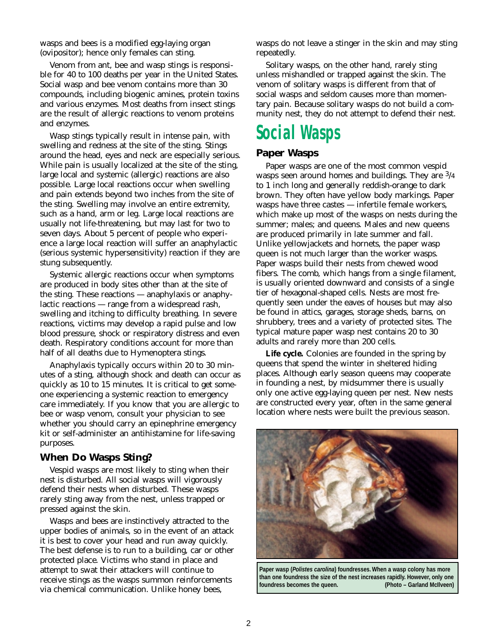wasps and bees is a modified egg-laying organ (ovipositor); hence only females can sting.

Venom from ant, bee and wasp stings is responsible for 40 to 100 deaths per year in the United States. Social wasp and bee venom contains more than 30 compounds, including biogenic amines, protein toxins and various enzymes. Most deaths from insect stings are the result of allergic reactions to venom proteins and enzymes.

Wasp stings typically result in intense pain, with swelling and redness at the site of the sting. Stings around the head, eyes and neck are especially serious. While pain is usually localized at the site of the sting, large local and systemic (allergic) reactions are also possible. Large local reactions occur when swelling and pain extends beyond two inches from the site of the sting. Swelling may involve an entire extremity, such as a hand, arm or leg. Large local reactions are usually not life-threatening, but may last for two to seven days. About 5 percent of people who experience a large local reaction will suffer an anaphylactic (serious systemic hypersensitivity) reaction if they are stung subsequently.

Systemic allergic reactions occur when symptoms are produced in body sites other than at the site of the sting. These reactions — anaphylaxis or anaphylactic reactions — range from a widespread rash, swelling and itching to difficulty breathing. In severe reactions, victims may develop a rapid pulse and low blood pressure, shock or respiratory distress and even death. Respiratory conditions account for more than half of all deaths due to Hymenoptera stings.

Anaphylaxis typically occurs within 20 to 30 minutes of a sting, although shock and death can occur as quickly as 10 to 15 minutes. It is critical to get someone experiencing a systemic reaction to emergency care immediately. If you know that you are allergic to bee or wasp venom, consult your physician to see whether you should carry an epinephrine emergency kit or self-administer an antihistamine for life-saving purposes.

#### **When Do Wasps Sting?**

Vespid wasps are most likely to sting when their nest is disturbed. All social wasps will vigorously defend their nests when disturbed. These wasps rarely sting away from the nest, unless trapped or pressed against the skin.

Wasps and bees are instinctively attracted to the upper bodies of animals, so in the event of an attack it is best to cover your head and run away quickly. The best defense is to run to a building, car or other protected place. Victims who stand in place and attempt to swat their attackers will continue to receive stings as the wasps summon reinforcements via chemical communication. Unlike honey bees,

wasps do not leave a stinger in the skin and may sting repeatedly.

Solitary wasps, on the other hand, rarely sting unless mishandled or trapped against the skin. The venom of solitary wasps is different from that of social wasps and seldom causes more than momentary pain. Because solitary wasps do not build a community nest, they do not attempt to defend their nest.

## *Social Wasps*

### **Paper Wasps**

Paper wasps are one of the most common vespid wasps seen around homes and buildings. They are 3/4 to 1 inch long and generally reddish-orange to dark brown. They often have yellow body markings. Paper wasps have three castes — infertile female workers, which make up most of the wasps on nests during the summer; males; and queens. Males and new queens are produced primarily in late summer and fall. Unlike yellowjackets and hornets, the paper wasp queen is not much larger than the worker wasps. Paper wasps build their nests from chewed wood fibers. The comb, which hangs from a single filament, is usually oriented downward and consists of a single tier of hexagonal-shaped cells. Nests are most frequently seen under the eaves of houses but may also be found in attics, garages, storage sheds, barns, on shrubbery, trees and a variety of protected sites. The typical mature paper wasp nest contains 20 to 30 adults and rarely more than 200 cells.

Life cycle. Colonies are founded in the spring by queens that spend the winter in sheltered hiding places. Although early season queens may cooperate in founding a nest, by midsummer there is usually only one active egg-laying queen per nest. New nests are constructed every year, often in the same general location where nests were built the previous season.



**Paper wasp (***Polistes carolina***) foundresses. When a wasp colony has more than one foundress the size of the nest increases rapidly. However, only one foundress becomes the queen. (Photo – Garland McIlveen)**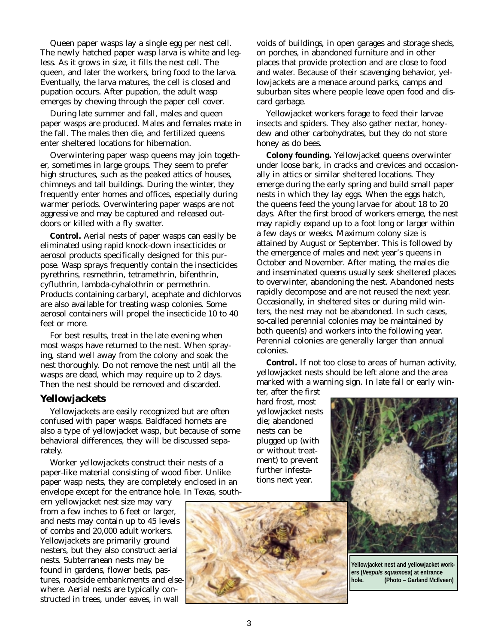Queen paper wasps lay a single egg per nest cell. The newly hatched paper wasp larva is white and legless. As it grows in size, it fills the nest cell. The queen, and later the workers, bring food to the larva. Eventually, the larva matures, the cell is closed and pupation occurs. After pupation, the adult wasp emerges by chewing through the paper cell cover.

During late summer and fall, males and queen paper wasps are produced. Males and females mate in the fall. The males then die, and fertilized queens enter sheltered locations for hibernation.

Overwintering paper wasp queens may join together, sometimes in large groups. They seem to prefer high structures, such as the peaked attics of houses, chimneys and tall buildings. During the winter, they frequently enter homes and offices, especially during warmer periods. Overwintering paper wasps are not aggressive and may be captured and released outdoors or killed with a fly swatter.

*Control.* Aerial nests of paper wasps can easily be eliminated using rapid knock-down insecticides or aerosol products specifically designed for this purpose. Wasp sprays frequently contain the insecticides pyrethrins, resmethrin, tetramethrin, bifenthrin, cyfluthrin, lambda-cyhalothrin or permethrin. Products containing carbaryl, acephate and dichlorvos are also available for treating wasp colonies. Some aerosol containers will propel the insecticide 10 to 40 feet or more.

For best results, treat in the late evening when most wasps have returned to the nest. When spraying, stand well away from the colony and soak the nest thoroughly. Do not remove the nest until all the wasps are dead, which may require up to 2 days. Then the nest should be removed and discarded.

#### **Yellowjackets**

Yellowjackets are easily recognized but are often confused with paper wasps. Baldfaced hornets are also a type of yellowjacket wasp, but because of some behavioral differences, they will be discussed separately.

Worker yellowjackets construct their nests of a paper-like material consisting of wood fiber. Unlike paper wasp nests, they are completely enclosed in an envelope except for the entrance hole. In Texas, south-

ern yellowjacket nest size may vary from a few inches to 6 feet or larger, and nests may contain up to 45 levels of combs and 20,000 adult workers. Yellowjackets are primarily ground nesters, but they also construct aerial nests. Subterranean nests may be found in gardens, flower beds, pastures, roadside embankments and elsewhere. Aerial nests are typically constructed in trees, under eaves, in wall

voids of buildings, in open garages and storage sheds, on porches, in abandoned furniture and in other places that provide protection and are close to food and water. Because of their scavenging behavior, yellowjackets are a menace around parks, camps and suburban sites where people leave open food and discard garbage.

Yellowjacket workers forage to feed their larvae insects and spiders. They also gather nectar, honeydew and other carbohydrates, but they do not store honey as do bees.

*Colony founding.* Yellowjacket queens overwinter under loose bark, in cracks and crevices and occasionally in attics or similar sheltered locations. They emerge during the early spring and build small paper nests in which they lay eggs. When the eggs hatch, the queens feed the young larvae for about 18 to 20 days. After the first brood of workers emerge, the nest may rapidly expand up to a foot long or larger within a few days or weeks. Maximum colony size is attained by August or September. This is followed by the emergence of males and next year's queens in October and November. After mating, the males die and inseminated queens usually seek sheltered places to overwinter, abandoning the nest. Abandoned nests rapidly decompose and are not reused the next year. Occasionally, in sheltered sites or during mild winters, the nest may not be abandoned. In such cases, so-called perennial colonies may be maintained by both queen(s) and workers into the following year. Perennial colonies are generally larger than annual colonies.

*Control.* If not too close to areas of human activity, yellowjacket nests should be left alone and the area marked with a warning sign. In late fall or early win-

ter, after the first hard frost, most yellowjacket nests die; abandoned nests can be plugged up (with or without treatment) to prevent further infestations next year.



**Yellowjacket nest and yellowjacket workers (***Vespuls squamosa***) at entrance hole. (Photo – Garland McIlveen)**

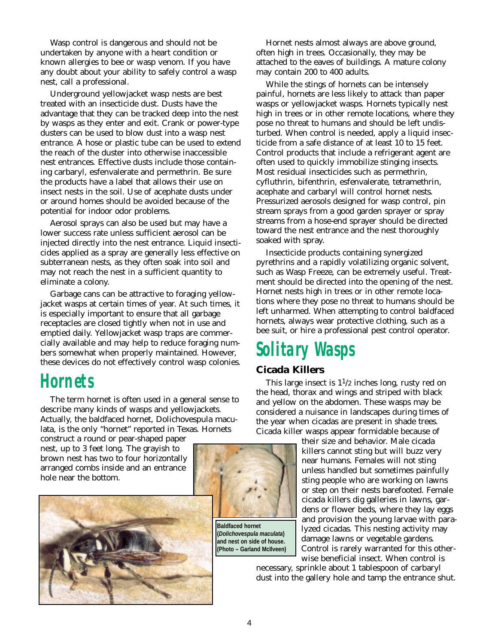Wasp control is dangerous and should not be undertaken by anyone with a heart condition or known allergies to bee or wasp venom. If you have any doubt about your ability to safely control a wasp nest, call a professional.

Underground yellowjacket wasp nests are best treated with an insecticide dust. Dusts have the advantage that they can be tracked deep into the nest by wasps as they enter and exit. Crank or power-type dusters can be used to blow dust into a wasp nest entrance. A hose or plastic tube can be used to extend the reach of the duster into otherwise inaccessible nest entrances. Effective dusts include those containing carbaryl, esfenvalerate and permethrin. Be sure the products have a label that allows their use on insect nests in the soil. Use of acephate dusts under or around homes should be avoided because of the potential for indoor odor problems.

Aerosol sprays can also be used but may have a lower success rate unless sufficient aerosol can be injected directly into the nest entrance. Liquid insecticides applied as a spray are generally less effective on subterranean nests, as they often soak into soil and may not reach the nest in a sufficient quantity to eliminate a colony.

Garbage cans can be attractive to foraging yellowjacket wasps at certain times of year. At such times, it is especially important to ensure that all garbage receptacles are closed tightly when not in use and emptied daily. Yellowjacket wasp traps are commercially available and may help to reduce foraging numbers somewhat when properly maintained. However, these devices do not effectively control wasp colonies.

## *Horn ets*

The term hornet is often used in a general sense to describe many kinds of wasps and yellowjackets. Actually, the baldfaced hornet, Dolichovespula maculata, is the only "hornet" reported in Texas. Hornets

construct a round or pear-shaped paper nest, up to 3 feet long. The grayish to brown nest has two to four horizontally arranged combs inside and an entrance hole near the bottom.



Hornet nests almost always are above ground, often high in trees. Occasionally, they may be attached to the eaves of buildings. A mature colony may contain 200 to 400 adults.

While the stings of hornets can be intensely painful, hornets are less likely to attack than paper wasps or yellowjacket wasps. Hornets typically nest high in trees or in other remote locations, where they pose no threat to humans and should be left undisturbed. When control is needed, apply a liquid insecticide from a safe distance of at least 10 to 15 feet. Control products that include a refrigerant agent are often used to quickly immobilize stinging insects. Most residual insecticides such as permethrin, cyfluthrin, bifenthrin, esfenvalerate, tetramethrin, acephate and carbaryl will control hornet nests. Pressurized aerosols designed for wasp control, pin stream sprays from a good garden sprayer or spray streams from a hose-end sprayer should be directed toward the nest entrance and the nest thoroughly soaked with spray.

Insecticide products containing synergized pyrethrins and a rapidly volatilizing organic solvent, such as Wasp Freeze, can be extremely useful. Treatment should be directed into the opening of the nest. Hornet nests high in trees or in other remote locations where they pose no threat to humans should be left unharmed. When attempting to control baldfaced hornets, always wear protective clothing, such as a bee suit, or hire a professional pest control operator.

# *Solita ry Wasps*

### **Cicada Killers**

This large insect is  $1^{1/2}$  inches long, rusty red on the head, thorax and wings and striped with black and yellow on the abdomen. These wasps may be considered a nuisance in landscapes during times of the year when cicadas are present in shade trees. Cicada killer wasps appear formidable because of

> their size and behavior. Male cicada killers cannot sting but will buzz very near humans. Females will not sting unless handled but sometimes painfully sting people who are working on lawns or step on their nests barefooted. Female cicada killers dig galleries in lawns, gardens or flower beds, where they lay eggs and provision the young larvae with paralyzed cicadas. This nesting activity may damage lawns or vegetable gardens. Control is rarely warranted for this otherwise beneficial insect. When control is

necessary, sprinkle about 1 tablespoon of carbaryl dust into the gallery hole and tamp the entrance shut.



**(***Dolichovespula maculata***) and nest on side of house. (Photo – Garland McIlveen)**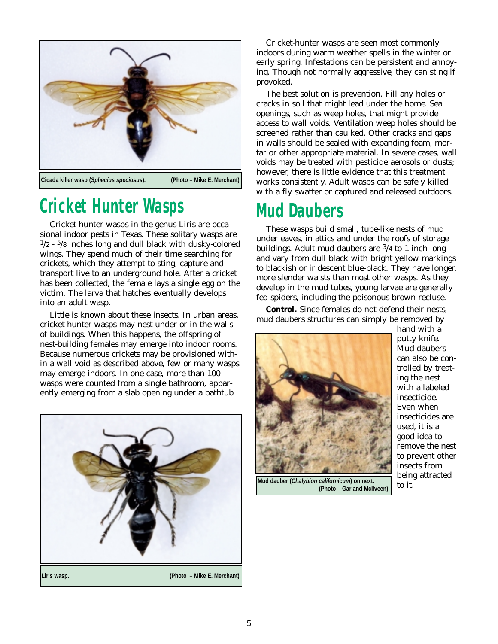

# *C ricket Hunter Wasps*

Cricket hunter wasps in the genus Liris are occasional indoor pests in Texas. These solitary wasps are  $1/2$  -  $5/8$  inches long and dull black with dusky-colored wings. They spend much of their time searching for crickets, which they attempt to sting, capture and transport live to an underground hole. After a cricket has been collected, the female lays a single egg on the victim. The larva that hatches eventually develops into an adult wasp.

Little is known about these insects. In urban areas, cricket-hunter wasps may nest under or in the walls of buildings. When this happens, the offspring of nest-building females may emerge into indoor rooms. Because numerous crickets may be provisioned within a wall void as described above, few or many wasps may emerge indoors. In one case, more than 100 wasps were counted from a single bathroom, apparently emerging from a slab opening under a bathtub.



Cricket-hunter wasps are seen most commonly indoors during warm weather spells in the winter or early spring. Infestations can be persistent and annoying. Though not normally aggressive, they can sting if provoked.

The best solution is prevention. Fill any holes or cracks in soil that might lead under the home. Seal openings, such as weep holes, that might provide access to wall voids. Ventilation weep holes should be screened rather than caulked. Other cracks and gaps in walls should be sealed with expanding foam, mortar or other appropriate material. In severe cases, wall voids may be treated with pesticide aerosols or dusts; however, there is little evidence that this treatment works consistently. Adult wasps can be safely killed with a fly swatter or captured and released outdoors.

## *Mud Daubers*

These wasps build small, tube-like nests of mud under eaves, in attics and under the roofs of storage buildings. Adult mud daubers are  $\frac{3}{4}$  to 1 inch long and vary from dull black with bright yellow markings to blackish or iridescent blue-black. They have longer, more slender waists than most other wasps. As they develop in the mud tubes, young larvae are generally fed spiders, including the poisonous brown recluse.

*Control.* Since females do not defend their nests, mud daubers structures can simply be removed by



**Mud dauber (***Chalybion californicum***) on next. (Photo – Garland McIlveen)**

hand with a putty knife. Mud daubers can also be controlled by treating the nest with a labeled insecticide. Even when insecticides are used, it is a good idea to remove the nest to prevent other insects from being attracted to it.